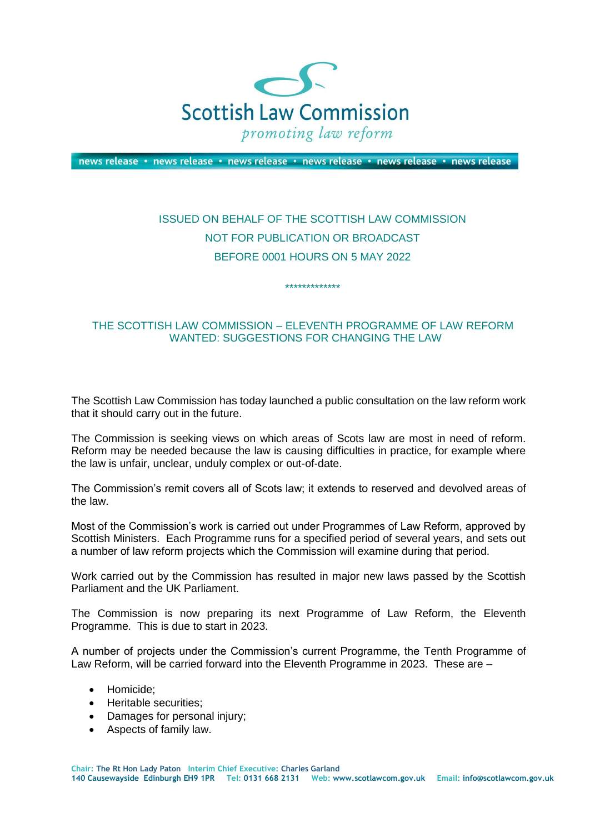

news release • news release • news release • news release • news release • news release

## ISSUED ON BEHALF OF THE SCOTTISH LAW COMMISSION NOT FOR PUBLICATION OR BROADCAST BEFORE 0001 HOURS ON 5 MAY 2022

\*\*\*\*\*\*\*\*\*\*\*\*\*

## THE SCOTTISH LAW COMMISSION – ELEVENTH PROGRAMME OF LAW REFORM WANTED: SUGGESTIONS FOR CHANGING THE LAW

The Scottish Law Commission has today launched a public consultation on the law reform work that it should carry out in the future.

The Commission is seeking views on which areas of Scots law are most in need of reform. Reform may be needed because the law is causing difficulties in practice, for example where the law is unfair, unclear, unduly complex or out-of-date.

The Commission's remit covers all of Scots law; it extends to reserved and devolved areas of the law.

Most of the Commission's work is carried out under Programmes of Law Reform, approved by Scottish Ministers. Each Programme runs for a specified period of several years, and sets out a number of law reform projects which the Commission will examine during that period.

Work carried out by the Commission has resulted in major new laws passed by the Scottish Parliament and the UK Parliament.

The Commission is now preparing its next Programme of Law Reform, the Eleventh Programme. This is due to start in 2023.

A number of projects under the Commission's current Programme, the Tenth Programme of Law Reform, will be carried forward into the Eleventh Programme in 2023. These are –

- Homicide:
- Heritable securities;
- Damages for personal injury;
- Aspects of family law.